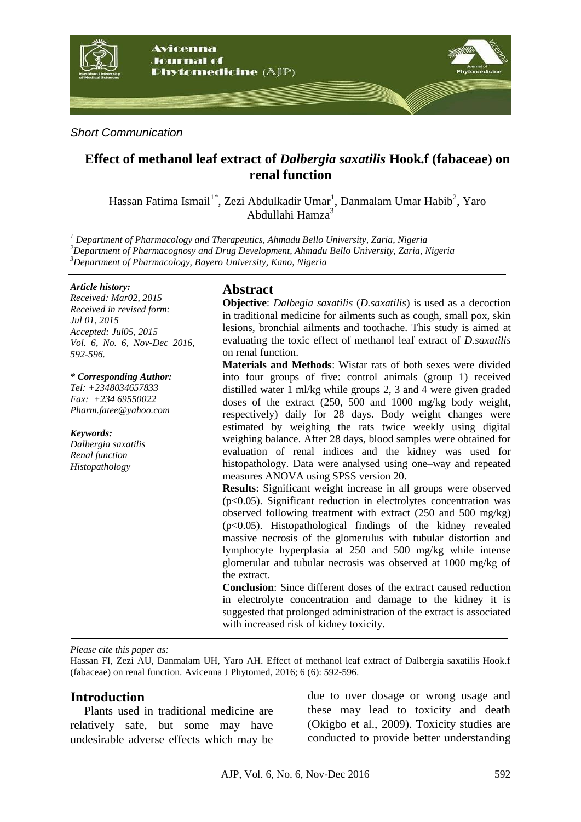

*Short Communication*

# **Effect of methanol leaf extract of** *Dalbergia saxatilis* **Hook.f (fabaceae) on renal function**

Hassan Fatima Ismail<sup>1\*</sup>, Zezi Abdulkadir Umar<sup>1</sup>, Danmalam Umar Habib<sup>2</sup>, Yaro Abdullahi Hamza<sup>3</sup>

*<sup>1</sup> Department of Pharmacology and Therapeutics, Ahmadu Bello University, Zaria, Nigeria <sup>2</sup>Department of Pharmacognosy and Drug Development, Ahmadu Bello University, Zaria, Nigeria <sup>3</sup>Department of Pharmacology, Bayero University, Kano, Nigeria*

#### *Article history:*

*Received: Mar02, 2015 Received in revised form: Jul 01, 2015 Accepted: Jul05, 2015 Vol. 6, No. 6, Nov-Dec 2016, 592-596.*

#### *\* Corresponding Author:*

*Tel: +2348034657833 Fax: +234 69550022 Pharm.fatee@yahoo.com*

*Keywords: Dalbergia saxatilis Renal function Histopathology*

## **Abstract**

**Objective**: *Dalbegia saxatilis* (*D.saxatilis*) is used as a decoction in traditional medicine for ailments such as cough, small pox, skin lesions, bronchial ailments and toothache. This study is aimed at evaluating the toxic effect of methanol leaf extract of *D.saxatilis* on renal function.

**Materials and Methods**: Wistar rats of both sexes were divided into four groups of five: control animals (group 1) received distilled water 1 ml/kg while groups 2, 3 and 4 were given graded doses of the extract (250, 500 and 1000 mg/kg body weight, respectively) daily for 28 days. Body weight changes were estimated by weighing the rats twice weekly using digital weighing balance. After 28 days, blood samples were obtained for evaluation of renal indices and the kidney was used for histopathology. Data were analysed using one–way and repeated measures ANOVA using SPSS version 20.

**Results**: Significant weight increase in all groups were observed (p<0.05). Significant reduction in electrolytes concentration was observed following treatment with extract (250 and 500 mg/kg) (p<0.05). Histopathological findings of the kidney revealed massive necrosis of the glomerulus with tubular distortion and lymphocyte hyperplasia at 250 and 500 mg/kg while intense glomerular and tubular necrosis was observed at 1000 mg/kg of the extract.

**Conclusion**: Since different doses of the extract caused reduction in electrolyte concentration and damage to the kidney it is suggested that prolonged administration of the extract is associated with increased risk of kidney toxicity*.*

*Please cite this paper as:* 

Hassan FI, Zezi AU, Danmalam UH, Yaro AH. Effect of methanol leaf extract of Dalbergia saxatilis Hook.f (fabaceae) on renal function. Avicenna J Phytomed, 2016; 6 (6): 592-596.

### **Introduction**

Plants used in traditional medicine are relatively safe, but some may have undesirable adverse effects which may be

due to over dosage or wrong usage and these may lead to toxicity and death (Okigbo et al., 2009). Toxicity studies are conducted to provide better understanding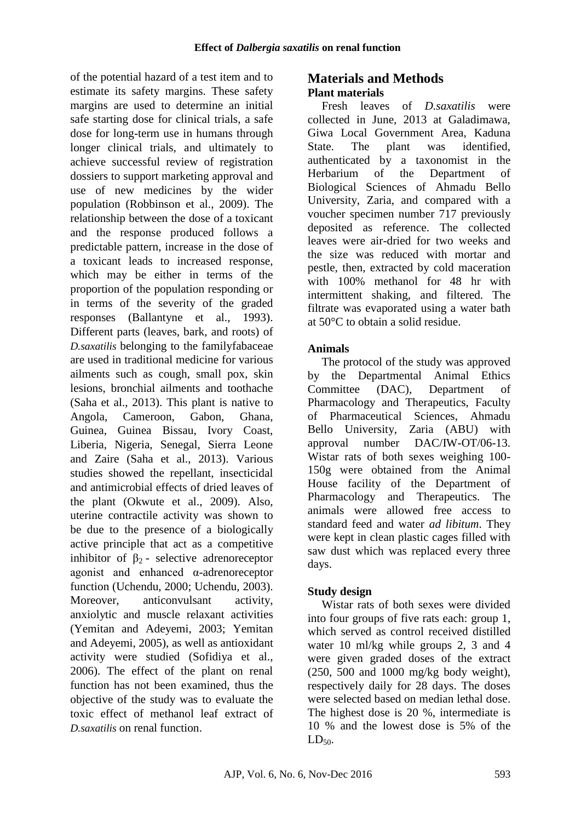of the potential hazard of a test item and to estimate its safety margins. These safety margins are used to determine an initial safe starting dose for clinical trials, a safe dose for long-term use in humans through longer clinical trials, and ultimately to achieve successful review of registration dossiers to support marketing approval and use of new medicines by the wider population (Robbinson et al., 2009). The relationship between the dose of a toxicant and the response produced follows a predictable pattern, increase in the dose of a toxicant leads to increased response, which may be either in terms of the proportion of the population responding or in terms of the severity of the graded responses (Ballantyne et al., 1993). Different parts (leaves, bark, and roots) of *D.saxatilis* belonging to the familyfabaceae are used in traditional medicine for various ailments such as cough, small pox, skin lesions, bronchial ailments and toothache (Saha et al., 2013). This plant is native to Angola, Cameroon, Gabon, Ghana, Guinea, Guinea Bissau, Ivory Coast, Liberia, Nigeria, Senegal, Sierra Leone and Zaire (Saha et al., 2013). Various studies showed the repellant, insecticidal and antimicrobial effects of dried leaves of the plant (Okwute et al., 2009). Also, uterine contractile activity was shown to be due to the presence of a biologically active principle that act as a competitive inhibitor of  $\beta_2$ - selective adrenoreceptor agonist and enhanced α-adrenoreceptor function (Uchendu, 2000; Uchendu, 2003). Moreover, anticonvulsant activity, anxiolytic and muscle relaxant activities (Yemitan and Adeyemi, 2003; Yemitan and Adeyemi, 2005), as well as antioxidant activity were studied (Sofidiya et al., 2006). The effect of the plant on renal function has not been examined, thus the objective of the study was to evaluate the toxic effect of methanol leaf extract of *D.saxatilis* on renal function.

# **Materials and Methods Plant materials**

Fresh leaves of *D.saxatilis* were collected in June, 2013 at Galadimawa, Giwa Local Government Area, Kaduna State. The plant was identified, authenticated by a taxonomist in the Herbarium of the Department of Biological Sciences of Ahmadu Bello University, Zaria, and compared with a voucher specimen number 717 previously deposited as reference. The collected leaves were air-dried for two weeks and the size was reduced with mortar and pestle, then, extracted by cold maceration with 100% methanol for 48 hr with intermittent shaking, and filtered. The filtrate was evaporated using a water bath at 50°C to obtain a solid residue.

# **Animals**

The protocol of the study was approved by the Departmental Animal Ethics Committee (DAC), Department of Pharmacology and Therapeutics, Faculty of Pharmaceutical Sciences, Ahmadu Bello University, Zaria (ABU) with approval number DAC/IW-OT/06-13. Wistar rats of both sexes weighing 100- 150g were obtained from the Animal House facility of the Department of Pharmacology and Therapeutics. The animals were allowed free access to standard feed and water *ad libitum*. They were kept in clean plastic cages filled with saw dust which was replaced every three days.

# **Study design**

Wistar rats of both sexes were divided into four groups of five rats each: group 1, which served as control received distilled water 10 ml/kg while groups 2, 3 and 4 were given graded doses of the extract (250, 500 and 1000 mg/kg body weight), respectively daily for 28 days. The doses were selected based on median lethal dose. The highest dose is 20 %, intermediate is 10 % and the lowest dose is 5% of the  $LD_{50}$ .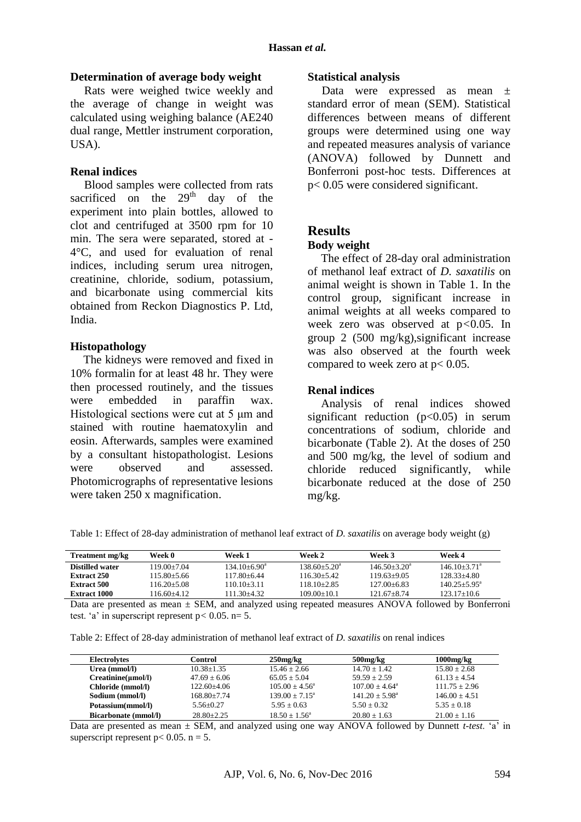#### **Determination of average body weight**

Rats were weighed twice weekly and the average of change in weight was calculated using weighing balance (AE240 dual range, Mettler instrument corporation, USA).

### **Renal indices**

Blood samples were collected from rats sacrificed on the  $29<sup>th</sup>$  day of the experiment into plain bottles, allowed to clot and centrifuged at 3500 rpm for 10 min. The sera were separated, stored at - 4°C, and used for evaluation of renal indices, including serum urea nitrogen, creatinine, chloride, sodium, potassium, and bicarbonate using commercial kits obtained from Reckon Diagnostics P. Ltd, India.

#### **Histopathology**

The kidneys were removed and fixed in 10% formalin for at least 48 hr. They were then processed routinely, and the tissues were embedded in paraffin wax. Histological sections were cut at 5 μm and stained with routine haematoxylin and eosin. Afterwards, samples were examined by a consultant histopathologist. Lesions were observed and assessed. Photomicrographs of representative lesions were taken 250 x magnification.

#### **Statistical analysis**

Data were expressed as mean ± standard error of mean (SEM). Statistical differences between means of different groups were determined using one way and repeated measures analysis of variance (ANOVA) followed by Dunnett and Bonferroni post-hoc tests. Differences at p< 0.05 were considered significant.

### **Results**

#### **Body weight**

The effect of 28-day oral administration of methanol leaf extract of *D. saxatilis* on animal weight is shown in Table 1. In the control group, significant increase in animal weights at all weeks compared to week zero was observed at p*<*0.05. In group 2 (500 mg/kg),significant increase was also observed at the fourth week compared to week zero at  $p < 0.05$ .

### **Renal indices**

Analysis of renal indices showed significant reduction  $(p<0.05)$  in serum concentrations of sodium, chloride and bicarbonate (Table 2). At the doses of 250 and 500 mg/kg, the level of sodium and chloride reduced significantly, while bicarbonate reduced at the dose of 250 mg/kg.

Table 1: Effect of 28-day administration of methanol leaf extract of *D. saxatilis* on average body weight (g)

| <b>Treatment mg/kg</b> | Week 0          | Week 1                  | Week 2                       | Week 3           | Week 4                  |
|------------------------|-----------------|-------------------------|------------------------------|------------------|-------------------------|
| Distilled water        | 119.00+7.04     | $134.10 + 6.90^{\circ}$ | $138.60 + 5.20$ <sup>a</sup> | $146.50 + 3.20a$ | $146.10+3.71a$          |
| <b>Extract 250</b>     | 115.80+5.66     | 117.80+6.44             | $116.30 + 5.42$              | $119.63+9.05$    | $128.33 + 4.80$         |
| <b>Extract 500</b>     | $116.20 + 5.08$ | $110.10 + 3.11$         | $118.10 + 2.85$              | $127.00 + 6.83$  | $140.25 + 5.95^{\circ}$ |
| Extract 1000           | 116.60+4.12     | 111.30+4.32.            | $109.00 + 10.1$              | $121.67 + 8.74$  | $123.17+10.6$           |

Data are presented as mean  $\pm$  SEM, and analyzed using repeated measures ANOVA followed by Bonferroni test. 'a' in superscript represent  $p < 0.05$ .  $n = 5$ .

Table 2: Effect of 28-day administration of methanol leaf extract of *D. saxatilis* on renal indices

| <b>Electrolytes</b>         | Control         | $250$ mg/kg             | $500$ mg/ $kg$          | $1000$ mg/ $kg$  |
|-----------------------------|-----------------|-------------------------|-------------------------|------------------|
| Urea (mmol/l)               | $10.38 + 1.35$  | $15.46 + 2.66$          | $14.70 + 1.42$          | $15.80 + 2.68$   |
| $Creatinine(\mu mol/l)$     | $47.69 + 6.06$  | $65.05 + 5.04$          | $59.59 + 2.59$          | $61.13 + 4.54$   |
| Chloride (mmol/l)           | $122.60 + 4.06$ | $105.00 + 4.56^{\circ}$ | $107.00 + 4.64^{\circ}$ | $111.75 + 2.96$  |
| Sodium (mmol/l)             | $168.80 + 7.74$ | $139.00 + 7.15^a$       | $141.20 + 5.98^a$       | $146.00 + 4.51$  |
| Potassium(mmol/l)           | $5.56 + 0.27$   | $5.95 + 0.63$           | $5.50 + 0.32$           | $5.35 + 0.18$    |
| <b>Bicarbonate (mmol/l)</b> | $28.80 + 2.25$  | $18.50 + 1.56^{\circ}$  | $20.80 + 1.63$          | $21.00 \pm 1.16$ |

Data are presented as mean ± SEM, and analyzed using one way ANOVA followed by Dunnett *t-test*. 'a' in superscript represent  $p < 0.05$ .  $n = 5$ .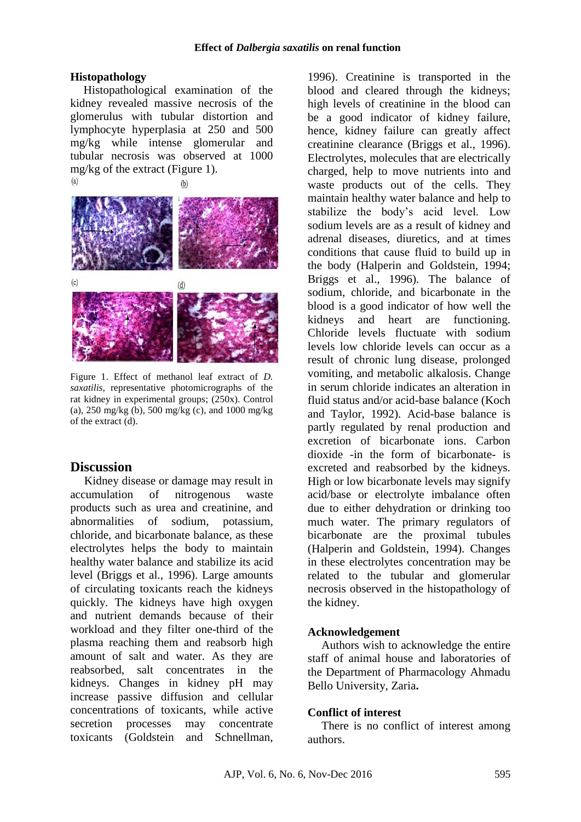### **Histopathology**

Histopathological examination of the kidney revealed massive necrosis of the glomerulus with tubular distortion and lymphocyte hyperplasia at 250 and 500 mg/kg while intense glomerular and tubular necrosis was observed at 1000 mg/kg of the extract (Figure 1).



Figure 1. Effect of methanol leaf extract of *D. saxatilis*, representative photomicrographs of the rat kidney in experimental groups; (250x). Control (a), 250 mg/kg (b), 500 mg/kg (c), and 1000 mg/kg of the extract (d).

### **Discussion**

Kidney disease or damage may result in accumulation of nitrogenous waste products such as urea and creatinine, and abnormalities of sodium, potassium, chloride, and bicarbonate balance, as these electrolytes helps the body to maintain healthy water balance and stabilize its acid level (Briggs et al., 1996). Large amounts of circulating toxicants reach the kidneys quickly. The kidneys have high oxygen and nutrient demands because of their workload and they filter one-third of the plasma reaching them and reabsorb high amount of salt and water. As they are reabsorbed, salt concentrates in the kidneys. Changes in kidney pH may increase passive diffusion and cellular concentrations of toxicants, while active secretion processes may concentrate toxicants (Goldstein and Schnellman,

1996). Creatinine is transported in the blood and cleared through the kidneys; high levels of creatinine in the blood can be a good indicator of kidney failure, hence, kidney failure can greatly affect creatinine clearance (Briggs et al., 1996). Electrolytes, molecules that are electrically charged, help to move nutrients into and waste products out of the cells. They maintain healthy water balance and help to stabilize the body's acid level. Low sodium levels are as a result of kidney and adrenal diseases, diuretics, and at times conditions that cause fluid to build up in the body (Halperin and Goldstein, 1994; Briggs et al., 1996). The balance of sodium, chloride, and bicarbonate in the blood is a good indicator of how well the kidneys and heart are functioning. Chloride levels fluctuate with sodium levels low chloride levels can occur as a result of chronic lung disease, prolonged vomiting, and metabolic alkalosis. Change in serum chloride indicates an alteration in fluid status and/or acid-base balance (Koch and Taylor, 1992). Acid-base balance is partly regulated by renal production and excretion of bicarbonate ions. Carbon dioxide -in the form of bicarbonate- is excreted and reabsorbed by the kidneys. High or low bicarbonate levels may signify acid/base or electrolyte imbalance often due to either dehydration or drinking too much water. The primary regulators of bicarbonate are the proximal tubules (Halperin and Goldstein, 1994). Changes in these electrolytes concentration may be related to the tubular and glomerular necrosis observed in the histopathology of the kidney.

### **Acknowledgement**

Authors wish to acknowledge the entire staff of animal house and laboratories of the Department of Pharmacology Ahmadu Bello University, Zaria**.**

### **Conflict of interest**

There is no conflict of interest among authors.